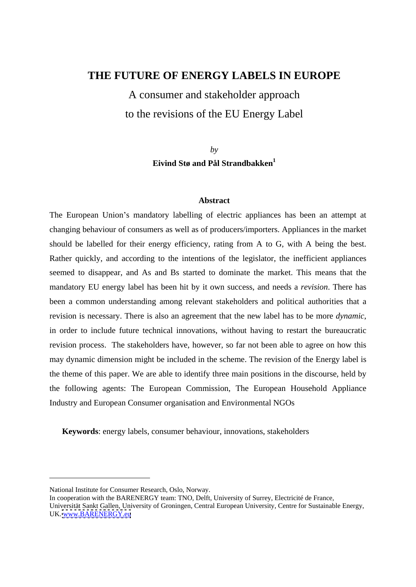## **THE FUTURE OF ENERGY LABELS IN EUROPE**

A consumer and stakeholder approach to the revisions of the EU Energy Label

> *by* **Eivind Stø and Pål Strandbakken1**

#### **Abstract**

The European Union's mandatory labelling of electric appliances has been an attempt at changing behaviour of consumers as well as of producers/importers. Appliances in the market should be labelled for their energy efficiency, rating from A to G, with A being the best. Rather quickly, and according to the intentions of the legislator, the inefficient appliances seemed to disappear, and As and Bs started to dominate the market. This means that the mandatory EU energy label has been hit by it own success, and needs a *revision*. There has been a common understanding among relevant stakeholders and political authorities that a revision is necessary. There is also an agreement that the new label has to be more *dynamic*, in order to include future technical innovations, without having to restart the bureaucratic revision process. The stakeholders have, however, so far not been able to agree on how this may dynamic dimension might be included in the scheme. The revision of the Energy label is the theme of this paper. We are able to identify three main positions in the discourse, held by the following agents: The European Commission, The European Household Appliance Industry and European Consumer organisation and Environmental NGOs

**Keywords**: energy labels, consumer behaviour, innovations, stakeholders

National Institute for Consumer Research, Oslo, Norway.

In cooperation with the BARENERGY team: TNO, Delft, University of Surrey, Electricité de France,

Universität Sankt Gallen, University of Groningen, Central European University, Centre for Sustainable Energy, UK. [www.BARENERGY.eu](http://www.BARENERGY.eu)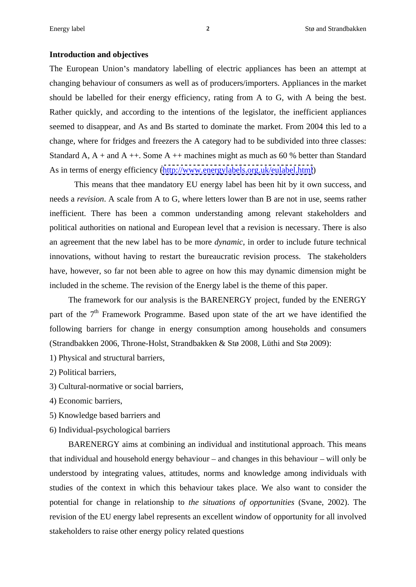#### **Introduction and objectives**

The European Union's mandatory labelling of electric appliances has been an attempt at changing behaviour of consumers as well as of producers/importers. Appliances in the market should be labelled for their energy efficiency, rating from A to G, with A being the best. Rather quickly, and according to the intentions of the legislator, the inefficient appliances seemed to disappear, and As and Bs started to dominate the market. From 2004 this led to a change, where for fridges and freezers the A category had to be subdivided into three classes: Standard A,  $A +$  and  $A +$ . Some  $A +$  machines might as much as 60 % better than Standard As in terms of energy efficiency [\(http://www.energylabels.org.uk/eulabel.html](http://www.energylabels.org.uk/eulabel.html))

This means that thee mandatory EU energy label has been hit by it own success, and needs a *revision*. A scale from A to G, where letters lower than B are not in use, seems rather inefficient. There has been a common understanding among relevant stakeholders and political authorities on national and European level that a revision is necessary. There is also an agreement that the new label has to be more *dynamic*, in order to include future technical innovations, without having to restart the bureaucratic revision process. The stakeholders have, however, so far not been able to agree on how this may dynamic dimension might be included in the scheme. The revision of the Energy label is the theme of this paper.

The framework for our analysis is the BARENERGY project, funded by the ENERGY part of the 7<sup>th</sup> Framework Programme. Based upon state of the art we have identified the following barriers for change in energy consumption among households and consumers (Strandbakken 2006, Throne-Holst, Strandbakken & Stø 2008, Lüthi and Stø 2009):

- 1) Physical and structural barriers,<br>2) Political barriers,<br>3) Cultural-normative or social barriers,<br>4) Economic barriers,<br>5) Knowledge based barriers and
- 
- 
- 6) Individual-psychological barriers

BARENERGY aims at combining an individual and institutional approach. This means that individual and household energy behaviour  $-$  and changes in this behaviour  $-$  will only be understood by integrating values, attitudes, norms and knowledge among individuals with studies of the context in which this behaviour takes place. We also want to consider the potential for change in relationship to *the situations of opportunities* (Svane, 2002). The revision of the EU energy label represents an excellent window of opportunity for all involved stakeholders to raise other energy policy related questions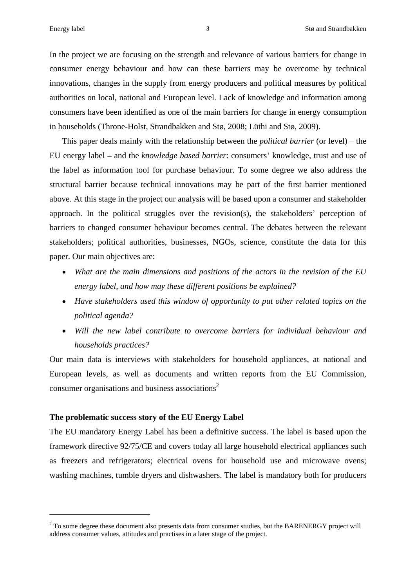In the project we are focusing on the strength and relevance of various barriers for change in consumer energy behaviour and how can these barriers may be overcome by technical innovations, changes in the supply from energy producers and political measures by political authorities on local, national and European level. Lack of knowledge and information among consumers have been identified as one of the main barriers for change in energy consumption in households (Throne-Holst, Strandbakken and Stø, 2008; Lüthi and Stø, 2009).

This paper deals mainly with the relationship between the *political barrier* (or level) – the EU energy label – and the *knowledge based barrier*: consumers' knowledge, trust and use of the label as information tool for purchase behaviour. To some degree we also address the structural barrier because technical innovations may be part of the first barrier mentioned above. At this stage in the project our analysis will be based upon a consumer and stakeholder approach. In the political struggles over the revision(s), the stakeholders' perception of barriers to changed consumer behaviour becomes central. The debates between the relevant stakeholders; political authorities, businesses, NGOs, science, constitute the data for this paper. Our main objectives are:

- *What are the main dimensions and positions of the actors in the revision of the EU energy label, and how may these different positions be explained?*
- *Have stakeholders used thiswindow of opportunity to put other related topics on the political agenda?*
- *Will the new label contribute to overcome barriers for individual behaviour and households practices?*

Our main data is interviews with stakeholders for household appliances, at national and European levels, as well as documents and written reports from the EU Commission, consumer organisations and business associations<sup>2</sup>

#### **The problematic success story of the EU Energy Label**

The EU mandatory Energy Label has been a definitive success. The label is based upon the framework directive 92/75/CE and covers today all large household electrical appliances such as freezers and refrigerators; electrical ovens for household use and microwave ovens; washing machines, tumble dryers and dishwashers. The label is mandatory both for producers

<sup>&</sup>lt;sup>2</sup> To some degree these document also presents data from consumer studies, but the BARENERGY project will address consumer values, attitudes and practises in a later stage of the project.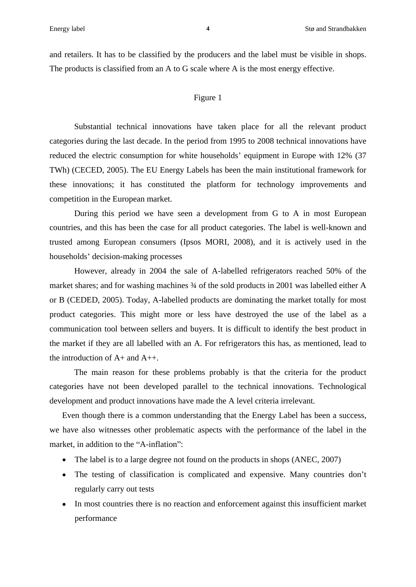and retailers. It has to be classified by the producers and the label must be visible in shops. The products is classified from an A to G scale where A is the most energy effective.

#### Figure 1 and 1 and 1 and 1 and 1 and 1 and 1 and 1 and 1 and 1 and 1 and 1 and 1 and 1 and 1 and 1 and 1 and 1

Substantial technical innovations have taken place for all the relevant product categories during the last decade. In the period from 1995 to 2008 technical innovations have reduced the electric consumption for white households' equipment in Europe with 12% (37) TWh) (CECED, 2005). The EU Energy Labels hasbeen the main institutional framework for these innovations; it has constituted the platform for technology improvements and competition in the European market.

During this period we have seen a development from G to A in most European countries, and this has been the case for all product categories. The label is well-known and trusted among European consumers (Ipsos MORI, 2008), and it is actively used in the households' decision-making processes

However, already in 2004 the sale of A-labelled refrigerators reached 50% of the market shares; and for washing machines  $\frac{3}{4}$  of the sold products in 2001 was labelled either A or B (CEDED, 2005). Today, A-labelled products are dominating the market totally for most product categories. This might more or less have destroyed the use of the label as a communication tool between sellers and buyers. It is difficult to identify the best product in the market if they are all labelled with an A. For refrigerators this has, as mentioned, lead to the introduction of  $A+$  and  $A++$ .

The main reason for these problems probably is that the criteria for the product categories have not been developed parallel to the technical innovations. Technological development and product innovations have made the A level criteria irrelevant.

Even though there is a common understanding that the Energy Label has been a success, we have also witnesses other problematic aspects with the performance of the label in the market, in addition to the "A-inflation":

- The label is to a large degree not found on the products in shops (ANEC, 2007)
- The testing of classification is complicated and expensive. Many countries don't regularly carry out tests
- In most countries there is no reaction and enforcement against this insufficient market performance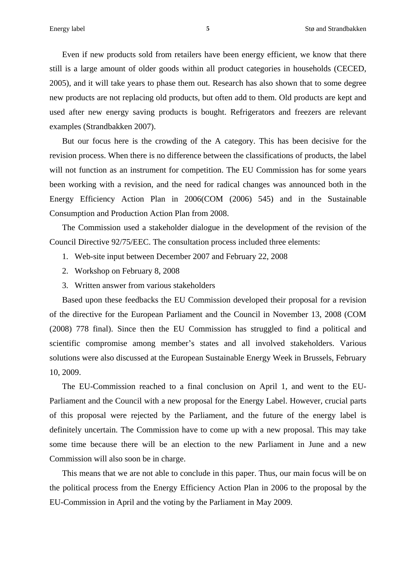Even if new products sold from retailers have been energy efficient, we know that there still is a large amount of older goods within all product categories in households (CECED, 2005), and it will take years to phase them out. Research has also shown that to some degree new products are not replacing old products, but often add to them. Old products arekept and used after new energy saving products is bought. Refrigerators and freezers are relevant examples (Strandbakken 2007).

But our focus here is the crowding of the A category. This has been decisive for the revision process. When there is no difference between the classifications of products, the label will not function as an instrument for competition. The EU Commission has for some years been working with a revision, and the need for radical changes was announced both in the Energy Efficiency Action Plan in 2006(COM (2006) 545) and in the Sustainable Consumption and Production Action Plan from 2008.

The Commission used a stakeholder dialogue in the development of the revision of the Council Directive 92/75/EEC. The consultation process included three elements:

- 1. Web-site input between December 2007 and February 22, 2008
- 2. Workshop on February 8, 2008
- 3. Written answer from various stakeholders

Based upon these feedbacks the EU Commission developed their proposal for a revision of the directive for the European Parliament and the Council in November 13, 2008 (COM (2008) 778 final). Since then the EU Commission hasstruggled to find a political and scientific compromise among member's states and all involved stakeholders. Various solutions were also discussed at the European Sustainable Energy Week in Brussels, February 10, 2009.

The EU-Commission reached to a final conclusion on April 1, and went to the EU- Parliament and the Council with a new proposal for the Energy Label. However, crucial parts of this proposal were rejected by the Parliament, and the future of the energy label is definitely uncertain. The Commission have to come up with a new proposal. This may take some time because there will be an election to the new Parliament in June and a new Commission will also soon be in charge.

This means that we are not able to conclude in this paper. Thus, our main focus will be on the political process from the Energy Efficiency Action Plan in 2006 to the proposal by the EU-Commission in April and the voting by the Parliament in May 2009.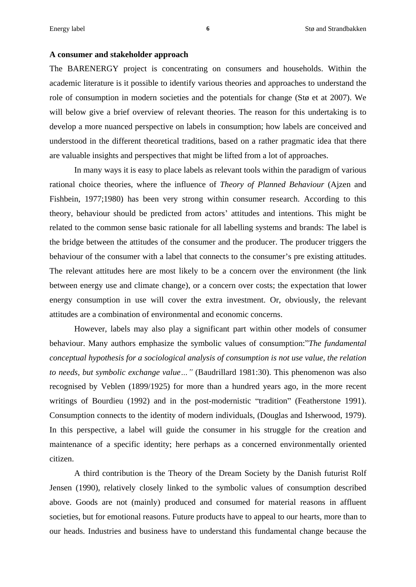#### **A consumer and stakeholder approach**

The BARENERGY project is concentrating on consumers and households. Within the academic literature is it possible to identify various theories and approaches to understand the role of consumption in modern societies and the potentials for change (Stø et at 2007). We will below give a brief overview of relevant theories. The reason for this undertaking is to develop a more nuanced perspective on labels in consumption; how labels are conceived and understood in the different theoretical traditions, based on a rather pragmatic idea that there are valuable insights and perspectives that might be lifted from a lot of approaches.

In many ways it is easy to place labels as relevant tools within the paradigm of various rational choice theories, where the influence of *Theory of Planned Behaviour* (Ajzen and Fishbein, 1977;1980) has been very strong within consumer research. According to this theory, behaviour should be predicted from actors' attitudes and intentions. This might be related to the common sense basic rationale for all labelling systems and brands: The label is the bridge between the attitudes of the consumer and the producer. The producer triggers the behaviour of the consumer with a label that connects to the consumer's pre existing attitudes. The relevant attitudes here are most likely to be a concern over the environment (the link between energy use and climate change), or a concern over costs; the expectation that lower energy consumption in use will cover the extra investment. Or, obviously, the relevant attitudes are a combination of environmental and economic concerns.

However, labels may also play a significant part within other models of consumer behaviour. Many authors emphasize the symbolic values of consumption: *The fundamental conceptual hypothesis for a sociological analysis of consumption is not use value, the relation to needs, but symbolic exchange value* ... " (Baudrillard 1981:30). This phenomenon was also recognised by Veblen (1899/1925) for more than a hundred years ago, in the more recent writings of Bourdieu (1992) and in the post-modernistic "tradition" (Featherstone 1991). Consumption connects to the identity of modern individuals, (Douglas and Isherwood, 1979). In this perspective, a label will guide the consumer in his struggle for the creation and maintenance of a specific identity; here perhaps as a concerned environmentally oriented citizen.

A third contribution is the Theory of the Dream Society by the Danish futurist Rolf Jensen (1990), relatively closely linked to the symbolic values of consumption described above. Goods are not (mainly) produced and consumed for material reasons in affluent societies, but for emotional reasons. Future products have to appeal to our hearts, more than to our heads. Industries and business have to understand this fundamental change because the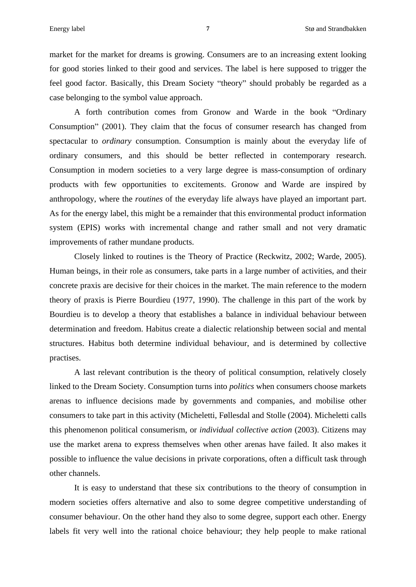market for the market for dreams is growing. Consumers are to an increasing extent looking for good stories linked to their good and services. The label is here supposed to trigger the feel good factor. Basically, this Dream Society "theory" should probably be regarded as a case belonging to the symbol value approach.

A forth contribution comes from Gronow and Warde in the book "Ordinary Consumption" (2001). They claim that the focus of consumer research has changed from spectacular to *ordinary* consumption. Consumption is mainly about the everyday life of ordinary consumers, and this should be better reflected in contemporary research. Consumption in modern societies to a very large degree is mass-consumption of ordinary products with few opportunities to excitements. Gronow and Warde are inspired by anthropology, where the *routines* of the everyday life always have played an important part. As for the energy label, this might be a remainder that this environmental product information system (EPIS) works with incremental change and rather small and not very dramatic improvements of rather mundane products.

Closely linked to routines is the Theory of Practice (Reckwitz, 2002; Warde, 2005). Human beings, in their role as consumers, take parts in a large number of activities, and their concrete praxis are decisive for their choices in the market. The main reference to the modern theory of praxis is Pierre Bourdieu (1977, 1990). The challenge in this part of the work by Bourdieu is to develop a theory that establishes a balance in individual behaviour between determination and freedom. Habitus create a dialectic relationship between social and mental structures. Habitus both determine individual behaviour, and is determined by collective practises.

A last relevant contribution is the theory of political consumption, relatively closely linked to the Dream Society. Consumption turns into *politics* when consumers choose markets arenas to influence decisions made by governments and companies, and mobilise other consumers to take part in this activity (Micheletti, Føllesdal and Stolle (2004). Micheletti calls this phenomenon political consumerism, or *individual collective action* (2003). Citizens may use the market arena to express themselves when other arenas have failed. It also makes it possible to influence the value decisions in private corporations, often a difficult task through other channels.

It is easy to understand that these six contributions to the theory of consumption in modern societies offers alternative and also to some degree competitive understanding of consumer behaviour. On the other hand they also to some degree, support each other. Energy labels fit very well into the rational choice behaviour; they help people to make rational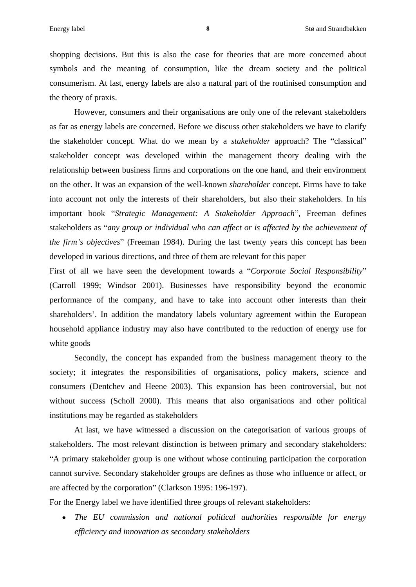shopping decisions. But this is also the case for theories that are more concerned about symbols and the meaning of consumption, like the dream society and the political consumerism. At last, energy labels are also a natural part of the routinised consumption and the theory of praxis.

However, consumers and their organisations are only one of the relevant stakeholders as far as energy labels are concerned. Before we discuss other stakeholders we have to clarify the stakeholder concept. What do we mean by a *stakeholder* approach? The "classical" stakeholder concept was developed within the management theory dealing with the relationship between business firms and corporations on the one hand, and their environment on the other. It was an expansion of the well-known *shareholder* concept. Firms have to take into account not only the interests of their shareholders, but also their stakeholders. In his important book *Strategic Management: A Stakeholder Approach* , Freeman defines stakeholders as *any group or individual who can af ect or is af ected bythe achievement of the firm's objectives*" (Freeman 1984). During the last twenty years this concept has been developed in various directions, and three of them are relevant for this paper

First of all we have seen the development towards a "Corporate Social Responsibility" (Carroll 1999; Windsor 2001). Businesses have responsibility beyond the economic performance of the company, and have to take into account other interests than their shareholders'. In addition the mandatory labels voluntary agreement within the European household appliance industry may also have contributed to the reduction of energy use for white goods and the goods of the state state  $\sim$ 

Secondly, the concept has expanded from the business management theory to the society; it integrates the responsibilities of organisations, policy makers, science and consumers (Dentchev and Heene 2003). This expansion has been controversial, but not without success (Scholl 2000). This means that also organisations and other political institutions may be regarded as stakeholders

At last, we have witnessed a discussion on the categorisation of various groups of stakeholders. The most relevant distinction is between primary and secondary stakeholders: A primary stakeholder group is one without whose continuing participation the corporation cannot survive. Secondary stakeholder groups are defines as those who influence oraffect, or are affected by the corporation" (Clarkson 1995: 196-197).

For the Energy label we have identified three groups of relevant stakeholders:

*The EU commission and national political authorities responsible for energy efficiency and innovation as secondary stakeholders*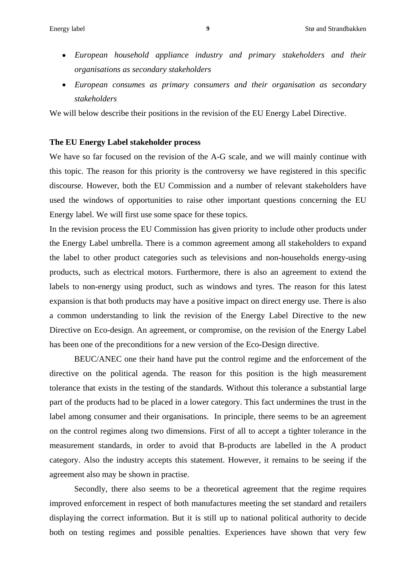- *European household appliance industry and primary stakeholders and their organisations as secondary stakeholders*
- *European consumes as primary consumers and theirorganisation as secondary stakeholders*

We will below describe their positions in the revision of the EU Energy Label Directive.

#### **The EU Energy Label stakeholder process**

We have so far focused on the revision of the A-G scale, and we will mainly continue with this topic. The reason for this priority is the controversy we have registered in this specific discourse. However, both the EU Commission and a number of relevant stakeholders have used the windows of opportunities to raise other important questions concerning the EU Energy label. We will first use some space for these topics.

In the revision process the EU Commission has given priority to include other products under the Energy Label umbrella. There is a common agreement among all stakeholders to expand the label to other product categories such as televisions and non-households energy-using products, such as electrical motors. Furthermore, there is also an agreement to extend the labels to non-energy using product, such as windows and tyres. The reason for this latest expansion is that both products may have a positive impact on direct energy use. There is also a common understanding to link the revision of the Energy Label Directive to the new Directive on Eco-design. An agreement, or compromise, on the revision of the Energy Label has been one of the preconditions for a new version of the Eco-Design directive.

BEUC/ANEC one their hand have put the control regime and the enforcement of the directive on the political agenda. The reason for this position is the high measurement tolerance that exists in the testing of the standards. Without this tolerance a substantial large part of the products had to be placed in a lower category. This fact undermines the trust in the label among consumer and their organisations. In principle, there seems to be an agreement on the control regimes along two dimensions. First of all to accept a tighter tolerance in the measurement standards, in order to avoid that B-products are labelled in the A product category. Also the industry accepts this statement. However, it remains to be seeing if the agreement also may be shown in practise.

Secondly, there also seems to be a theoretical agreement that the regime requires improved enforcement in respect of both manufactures meeting the set standard and retailers displaying the correct information. But it is still up to national political authority to decide both on testing regimes and possible penalties. Experiences have shown that very few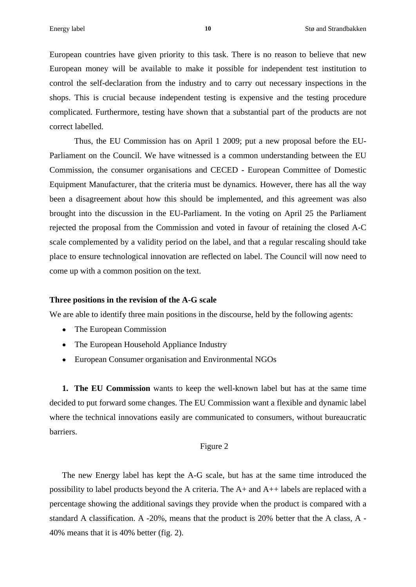European countries have given priority to this task. There is no reason to believe that new European money will be available to make it possible for independent test institution to control the self-declaration from the industry and to carry out necessary inspections in the shops. This is crucial because independent testing is expensive and the testing procedure complicated. Furthermore, testing have shown that a substantial part of the products are not correct labelled.

Thus, the EU Commission has on April 1 2009; put a new proposal before the EU- Parliament on the Council. We have witnessed is a common understanding between the EU Commission, the consumer organisations and CECED - European Committee of Domestic Equipment Manufacturer, that the criteria must be dynamics. However, there has all the way been a disagreement about how this should be implemented, and this agreement was also brought into the discussion in the EU-Parliament. In the voting on April 25 the Parliament rejected the proposal from the Commission and voted in favour of retaining the closed A-C scale complemented by a validity period on the label, and that a regular rescaling should take place to ensure technological innovation are reflected on label. The Council will now need to come up with a common position on the text.

#### **Three positions in the revision of the A-G scale**

We are able to identify three main positions in the discourse, held by the following agents:

- The European Commission
- The European Household Appliance Industry
- European Consumer organisation and Environmental NGOs

**1. The EU Commission** wants to keep the well-known label but has at the same time decided to put forward some changes. The EU Commission want a flexible and dynamic label where the technical innovations easily are communicated to consumers, without bureaucratic barriers.

#### Figure 2

The new Energy label has kept the A-G scale, but has at the same time introduced the possibility to label products beyond the A criteria. The A+ and A++ labels are replaced with a percentage showing the additional savings they provide when the product is compared with a standard A classification. A -20%, means that the product is 20% better that the A class, A - 40% means that it is 40% better (fig. 2).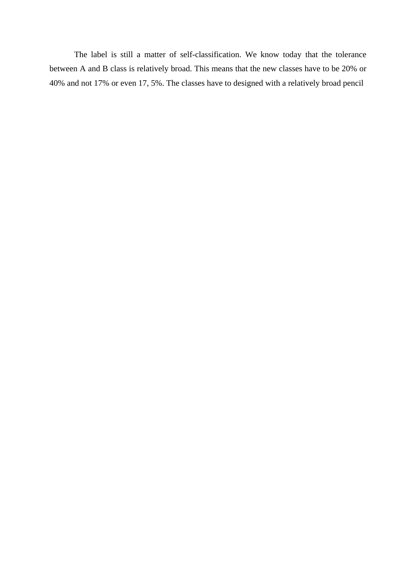The label is still a matter of self-classification. We know today that the tolerance between A and B class is relatively broad. This means that the new classes have to be 20% or 40% and not 17% or even 17, 5%. The classes have to designed with a relatively broad pencil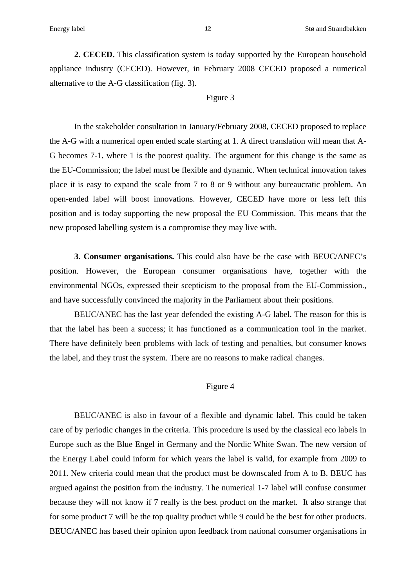**2. CECED.** This classification system is today supported by the European household appliance industry (CECED). However, in February 2008 CECED proposed a numerical alternative to the A-G classification (fig. 3).<br>Figure 3

In the stakeholder consultation in January/February 2008, CECED proposed to replace the A-G with a numerical open ended scale starting at 1. A direct translation will mean that A- G becomes 7-1, where 1 is the poorest quality. The argument for this change is the same as the EU-Commission; the label must be flexible and dynamic. When technical innovation takes place it is easy to expand the scale from 7 to 8 or 9 without any bureaucratic problem. An open-ended label will boost innovations. However, CECED have more or less left this position and is today supporting the new proposal the EU Commission. This means that the new proposed labelling system is a compromise they may live with.

**3. Consumer organisations.** This could also have be the case with BEUC/ANEC's position. However, the European consumer organisations have, together with the environmental NGOs, expressed their scepticism to the proposal from the EU-Commission., and have successfully convinced the majority in the Parliament about their positions.

BEUC/ANEC has the last year defended the existing A-G label. The reason for this is that the label has been a success; it has functioned as a communication tool in the market. There have definitely been problems with lack of testing and penalties, but consumer knows the label, and they trust the system. There are no reasons to make radical changes.

#### Figure 4

BEUC/ANEC is also in favour of a flexible and dynamic label. This could be taken care of by periodic changes in the criteria. This procedure is used by the classical eco labels in Europe such as the Blue Engel in Germany and the Nordic White Swan. The new version of the Energy Label could inform for which years the label is valid, for example from 2009 to 2011. New criteria could mean that the product must be downscaled from A to B. BEUC has argued against the position from the industry. The numerical 1-7 label will confuse consumer because they will not know if 7 really is the best product on the market. It also strange that for some product 7 will be the top quality product while 9 could be the best for other products. BEUC/ANEC has based their opinion upon feedback from national consumer organisations in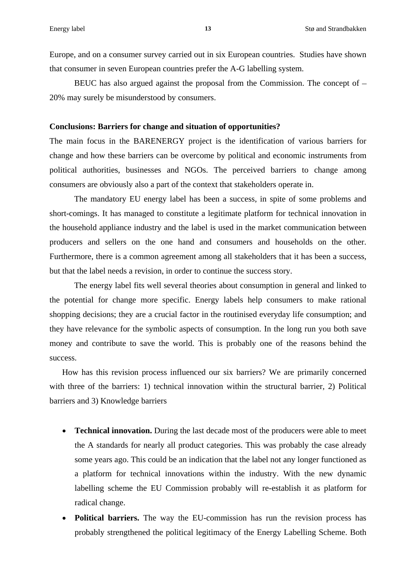Europe, and on a consumer survey carried out in six European countries. Studieshave shown that consumer in seven European countries prefer the A-G labelling system.

BEUC has also argued against the proposal from the Commission. The concept of  $-$ 20% may surely be misunderstood by consumers.

#### **Conclusions: Barriers for change and situation of opportunities?**

The main focus in the BARENERGY project is the identification of various barriers for change and how these barriers can be overcome by political and economic instruments from political authorities, businesses and NGOs. The perceived barriers to change among consumers are obviously also a part of the context that stakeholders operate in.

The mandatory EU energy label has been a success, in spite of some problems and short-comings. It has managed to constitute a legitimate platform for technical innovation in the household appliance industry and the label is used in the market communication between producers and sellers on the one hand and consumers and households on the other. Furthermore, there is a common agreement among all stakeholders that it has been a success, but that the label needs a revision, in order to continue the success story.

The energy label fits well several theories about consumption in general and linked to the potential for change more specific. Energy labels help consumers to make rational shopping decisions; they are a crucial factor in the routinised everyday life consumption; and they have relevance for the symbolic aspects of consumption. In the long run you both save money and contribute to save the world. This is probably one of the reasons behind the success.

How has this revision process influenced our six barriers? We are primarily concerned with three of the barriers: 1) technical innovation within the structural barrier, 2) Political barriers and 3) Knowledge barriers

- **Technical innovation.** During the last decade most of the producers were able to meet the A standards for nearly all product categories. This was probably the case already some years ago. This could be an indication that the label not any longer functioned as a platform for technical innovations within the industry. With the new dynamic labelling scheme the EU Commission probably will re-establish it as platform for radical change.
- **Political barriers.** The way the EU-commission has run the revision process has  $\bullet$ probably strengthened the political legitimacy of the Energy Labelling Scheme. Both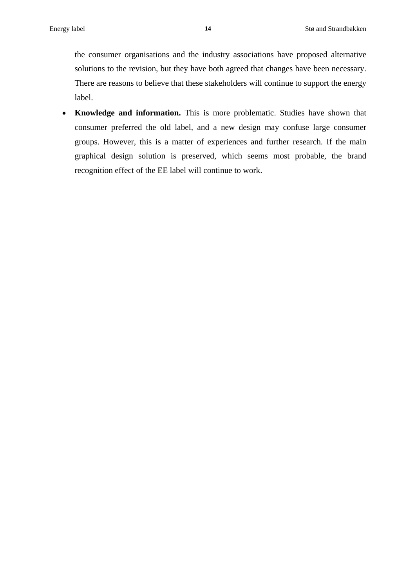the consumer organisations and the industry associations have proposed alternative solutions to the revision, but they have both agreed that changes have been necessary. There are reasons to believe that these stakeholders will continue to support the energy label.

**Knowledge and information.** This is more problematic. Studies have shown that  $\bullet$ consumer preferred the old label, and a new design may confuse large consumer groups. However, this is a matter of experiences and further research. If the main graphical design solution is preserved, which seems most probable, the brand recognition effect of the EE label will continue to work.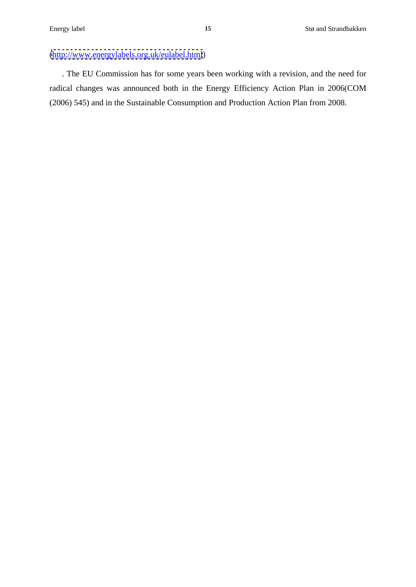## [\(http://www.energylabels.org.uk/eulabel.html](http://www.energylabels.org.uk/eulabel.html))

. The EU Commission has for some years been working with a revision, and the need for radical changes was announced both in the Energy Efficiency Action Plan in 2006(COM (2006) 545) and in the Sustainable Consumption and Production Action Plan from 2008.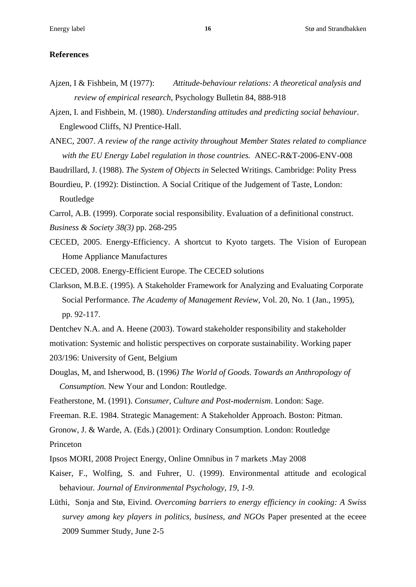#### **References**

- Ajzen, I & Fishbein, M (1977): *Attitude-behaviour relations: A theoretical analysis and review of empirical research*, Psychology Bulletin 84, 888-918
- Ajzen, I. and Fishbein, M. (1980). *Understanding attitudes and predicting social behaviour*. Englewood Cliffs, NJ Prentice-Hall.
- ANEC, 2007. *A review of the range activity throughout Member States related to compliance with the EU Energy Label regulation in those countries.* ANEC-R&T-2006-ENV-008

Baudrillard, J. (1988). *The System of Objects in* Selected Writings. Cambridge: Polity Press

Bourdieu, P. (1992): Distinction. A Social Critique of the Judgement of Taste, London: Routledge **Executive Executive Contract Contract Contract Contract Contract Contract Contract Contract Contract Contract Contract Contract Contract Contract Contract Contract Contract Contract Contract Contract Contract Co** 

- Carrol, A.B. (1999). Corporate social responsibility. Evaluation of a definitional construct.
- *Business & Society 38(3)* pp. 268-295
- CECED, 2005. Energy-Efficiency. A shortcut to Kyoto targets. The Vision of European Home Appliance Manufactures

CECED, 2008. Energy-Efficient Europe. The CECED solutions

- Clarkson, M.B.E. (1995). A Stakeholder Framework for Analyzing and Evaluating Corporate Social Performance. *The Academy of Management Review*, Vol. 20, No. 1 (Jan., 1995), pp. 92-117.
- Dentchev N.A. and A. Heene (2003). Toward stakeholder responsibility and stakeholder motivation: Systemic and holistic perspectives on corporate sustainability. Working paper 203/196: University of Gent, Belgium
- Douglas, M, and Isherwood, B. (1996*) The World of Goods. Towards an Anthropology of Consumption.* New Your and London: Routledge.
- Featherstone, M. (1991). *Consumer, Culture and Post-modernism*. London: Sage.

Freeman. R.E. 1984. Strategic Management: A Stakeholder Approach. Boston: Pitman.

Gronow, J. & Warde, A. (Eds.) (2001): Ordinary Consumption. London: Routledge Princeton **Princeton** 

- Ipsos MORI, 2008 Project Energy, Online Omnibus in 7 markets .May 2008
- Kaiser, F., Wolfing, S. and Fuhrer, U. (1999). Environmental attitude and ecological behaviour*. Journal of Environmental Psychology, 19, 1-9.*
- Lüthi, Sonja and Stø, Eivind. *Overcoming barriers to energy ef iciency in cooking: A Swiss survey among key players in politics, business, and NGOs* Paper presented at the eceee 2009 Summer Study, June 2-5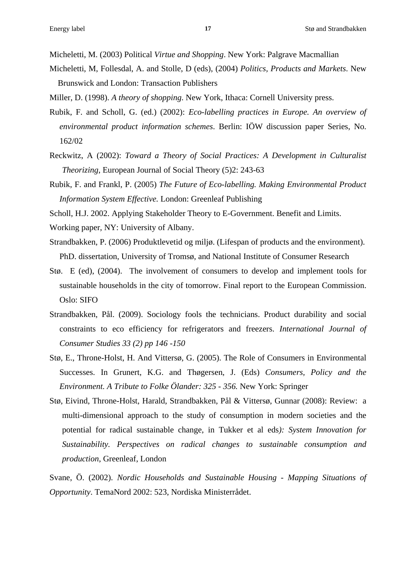Micheletti, M. (2003) Political *Virtue and Shopping*. New York: Palgrave Macmallian

- Micheletti, M, Follesdal, A. and Stolle, D (eds), (2004) *Politics, Products and Markets*. New Brunswick and London: Transaction Publishers
- Miller, D. (1998). *A theory of shopping*. New York, Ithaca: Cornell University press.
- Rubik, F. and Scholl, G. (ed.) (2002): *Eco-labelling practices in Europe. An overview of environmental product information schemes*. Berlin: IÖW discussion paper Series, No. 162/02
- Reckwitz, A (2002): *Toward a Theory of Social Practices: A Development in Culturalist Theorizing*, European Journal of Social Theory (5)2: 243-63
- Rubik, F. and Frankl, P. (2005) *The Future of Eco-labelling. Making Environmental Product Information System Effective.* London: Greenleaf Publishing
- Scholl, H.J. 2002. Applying Stakeholder Theory to E-Government. Benefit and Limits.
- Working paper, NY: University of Albany.
- Strandbakken, P. (2006) Produktlevetid og miljø. (Lifespan of products and the environment). PhD. dissertation, University of Tromsø, and National Institute of Consumer Research
- Stø. E (ed), (2004). The involvement of consumers to develop and implement tools for sustainable households in the city of tomorrow. Final report to the European Commission. Oslo: SIFO
- Strandbakken, Pål. (2009). Sociology fools the technicians. Product durability and social constraints to eco efficiency for refrigerators and freezers. *International Journal of Consumer Studies 33 (2) pp 146 -150*
- Stø, E., Throne-Holst, H. And Vittersø, G. (2005). The Role of Consumers in Environmental Successes. In Grunert, K.G. and Thøgersen, J. (Eds) *Consumers, Policy and the Environment. A Tribute to Folke Ölander: 325 - 356.* New York: Springer
- Stø, Eivind, Throne-Holst, Harald, Strandbakken, Pål & Vittersø, Gunnar (2008): Review: a multi-dimensional approach to the study of consumption in modern societies and the potential for radical sustainable change, in Tukker et al eds*): System Innovation for Sustainability. Perspectives on radical changes to sustainable consumption and production*, Greenleaf, London
- Svane, Ö. (2002). *Nordic Households and Sustainable Housing - Mapping Situations of Opportunity*. TemaNord 2002: 523, Nordiska Ministerrådet.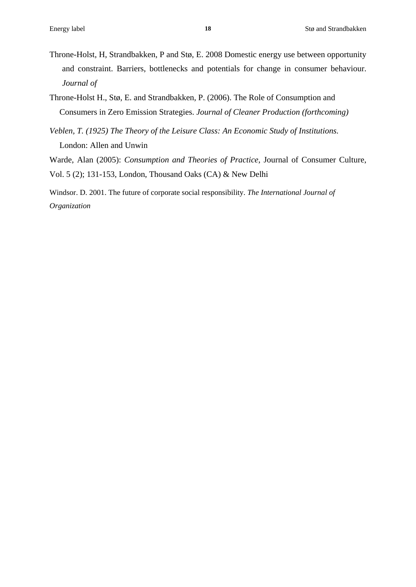- Throne-Holst, H, Strandbakken, P and Stø, E. 2008 Domestic energy use between opportunity and constraint. Barriers, bottlenecks and potentials for change in consumer behaviour. *Journal of*
- Throne-Holst H., Stø, E. and Strandbakken, P. (2006). The Role of Consumption and Consumers in Zero Emission Strategies. *Journal of Cleaner Production (forthcoming)*
- *Veblen, T. (1925) The Theory of the Leisure Class: An Economic Study of Institutions.*  London: Allen and Unwin

Warde, Alan (2005): *Consumption and Theories of Practice*, Journal of Consumer Culture, Vol. 5 (2); 131-153, London, Thousand Oaks (CA) & New Delhi

Windsor. D. 2001. The future of corporate social responsibility. *The International Journal of Organization*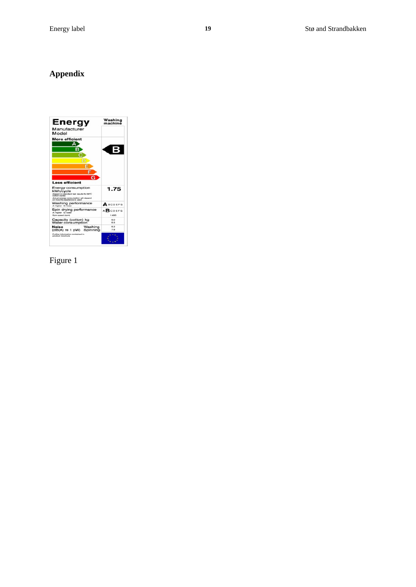### **Appendix**

| Energy<br>Manufacturer<br>Model                                                                                           | Washing<br>machine     |
|---------------------------------------------------------------------------------------------------------------------------|------------------------|
| <b>More efficient</b>                                                                                                     |                        |
| <b>Less efficient</b><br>Energy consumption<br>kWh/cycle<br>(besed on standard test results for 60°C<br>position eyesiati | 1.75                   |
| Actual energy consumption will depend<br>Washing performance<br>A: higher G: lower                                        | ABCDEFG                |
| Spin drying performance<br>A: higher G: lower<br>Spin speed irons                                                         | <b>ABCDEFG</b><br>1400 |
|                                                                                                                           | S.O.                   |
| Capacity (cotton) kg<br>Water consumption                                                                                 | 5.5                    |
| Washing<br>Noise<br>(dB(A) re 1 pW) Spinning                                                                              | 5.2<br>アル              |

Figure 1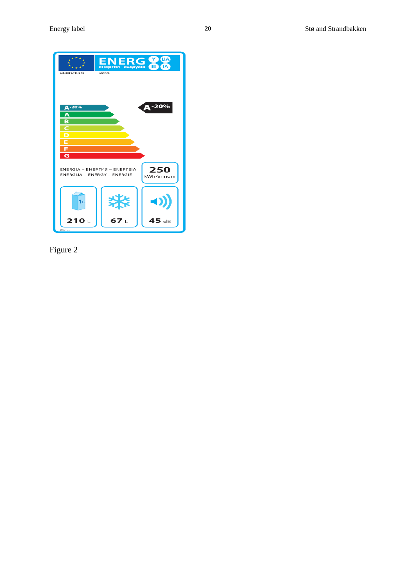

Figure 2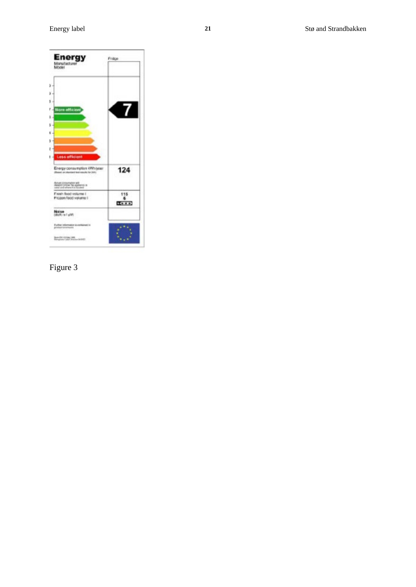

# Figure 3